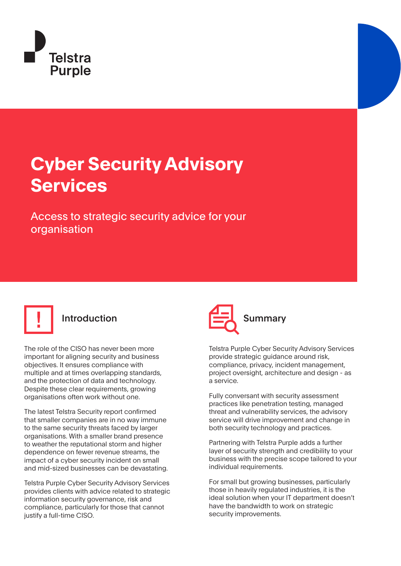

## **Cyber Security Advisory Services**

Access to strategic security advice for your organisation



The role of the CISO has never been more important for aligning security and business objectives. It ensures compliance with multiple and at times overlapping standards, and the protection of data and technology. Despite these clear requirements, growing organisations often work without one.

The latest Telstra Security report confirmed that smaller companies are in no way immune to the same security threats faced by larger organisations. With a smaller brand presence to weather the reputational storm and higher dependence on fewer revenue streams, the impact of a cyber security incident on small and mid-sized businesses can be devastating.

Telstra Purple Cyber Security Advisory Services provides clients with advice related to strategic information security governance, risk and compliance, particularly for those that cannot justify a full-time CISO.



Telstra Purple Cyber Security Advisory Services provide strategic guidance around risk, compliance, privacy, incident management, project oversight, architecture and design - as a service.

Fully conversant with security assessment practices like penetration testing, managed threat and vulnerability services, the advisory service will drive improvement and change in both security technology and practices.

Partnering with Telstra Purple adds a further layer of security strength and credibility to your business with the precise scope tailored to your individual requirements.

For small but growing businesses, particularly those in heavily regulated industries, it is the ideal solution when your IT department doesn't have the bandwidth to work on strategic security improvements.